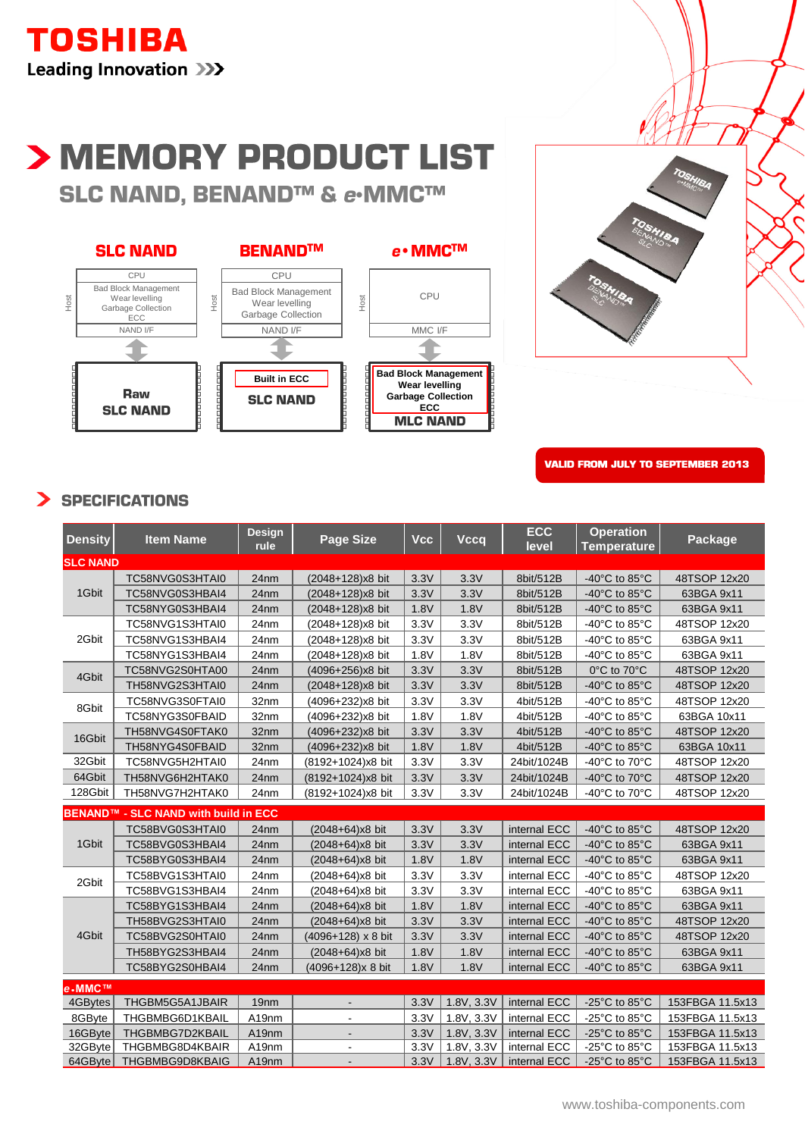

# > MEMORY PRODUCT LIST SLC NAND, BENAND™ & e-MMC™





**VALID FROM JULY TO SEPTEMBER 2013**

#### **SPECIFICATIONS**  $\blacktriangleright$

| <b>Density</b>  | <b>Item Name</b>                     | <b>Design</b><br>rule | <b>Page Size</b>          | <b>Vcc</b> | <b>Vccq</b> | <b>ECC</b><br>level | <b>Operation</b><br><b>Temperature</b> | Package         |
|-----------------|--------------------------------------|-----------------------|---------------------------|------------|-------------|---------------------|----------------------------------------|-----------------|
| <b>SLC NAND</b> |                                      |                       |                           |            |             |                     |                                        |                 |
| 1Gbit           | TC58NVG0S3HTAI0                      | 24nm                  | (2048+128)x8 bit          | 3.3V       | 3.3V        | 8bit/512B           | -40 $^{\circ}$ C to 85 $^{\circ}$ C    | 48TSOP 12x20    |
|                 | TC58NVG0S3HBAI4                      | 24nm                  | (2048+128)x8 bit          | 3.3V       | 3.3V        | 8bit/512B           | -40 $^{\circ}$ C to 85 $^{\circ}$ C    | 63BGA 9x11      |
|                 | TC58NYG0S3HBAI4                      | 24nm                  | (2048+128)x8 bit          | 1.8V       | 1.8V        | 8bit/512B           | -40 $^{\circ}$ C to 85 $^{\circ}$ C    | 63BGA 9x11      |
| 2Gbit           | TC58NVG1S3HTAI0                      | 24nm                  | (2048+128)x8 bit          | 3.3V       | 3.3V        | 8bit/512B           | -40 $^{\circ}$ C to 85 $^{\circ}$ C    | 48TSOP 12x20    |
|                 | TC58NVG1S3HBAI4                      | 24nm                  | (2048+128)x8 bit          | 3.3V       | 3.3V        | 8bit/512B           | -40 $^{\circ}$ C to 85 $^{\circ}$ C    | 63BGA 9x11      |
|                 | TC58NYG1S3HBAI4                      | 24nm                  | (2048+128)x8 bit          | 1.8V       | 1.8V        | 8bit/512B           | -40 $^{\circ}$ C to 85 $^{\circ}$ C    | 63BGA 9x11      |
| 4Gbit           | TC58NVG2S0HTA00                      | 24nm                  | (4096+256)x8 bit          | 3.3V       | 3.3V        | 8bit/512B           | 0°C to 70°C                            | 48TSOP 12x20    |
|                 | TH58NVG2S3HTAI0                      | 24nm                  | (2048+128)x8 bit          | 3.3V       | 3.3V        | 8bit/512B           | -40 $^{\circ}$ C to 85 $^{\circ}$ C    | 48TSOP 12x20    |
| 8Gbit           | TC58NVG3S0FTAI0                      | 32nm                  | (4096+232)x8 bit          | 3.3V       | 3.3V        | 4bit/512B           | -40 $^{\circ}$ C to 85 $^{\circ}$ C    | 48TSOP 12x20    |
|                 | TC58NYG3S0FBAID                      | 32nm                  | (4096+232)x8 bit          | 1.8V       | 1.8V        | 4bit/512B           | -40 $^{\circ}$ C to 85 $^{\circ}$ C    | 63BGA 10x11     |
| 16Gbit          | TH58NVG4S0FTAK0                      | 32nm                  | (4096+232)x8 bit          | 3.3V       | 3.3V        | 4bit/512B           | -40 $^{\circ}$ C to 85 $^{\circ}$ C    | 48TSOP 12x20    |
|                 | TH58NYG4S0FBAID                      | 32nm                  | (4096+232)x8 bit          | 1.8V       | 1.8V        | 4bit/512B           | -40 $^{\circ}$ C to 85 $^{\circ}$ C    | 63BGA 10x11     |
| 32Gbit          | TC58NVG5H2HTAI0                      | 24nm                  | (8192+1024)x8 bit         | 3.3V       | 3.3V        | 24bit/1024B         | -40 $^{\circ}$ C to 70 $^{\circ}$ C    | 48TSOP 12x20    |
| 64Gbit          | TH58NVG6H2HTAK0                      | 24nm                  | (8192+1024)x8 bit         | 3.3V       | 3.3V        | 24bit/1024B         | -40°C to 70°C                          | 48TSOP 12x20    |
| 128Gbit         | TH58NVG7H2HTAK0                      | 24nm                  | (8192+1024)x8 bit         | 3.3V       | 3.3V        | 24bit/1024B         | -40°C to 70°C                          | 48TSOP 12x20    |
|                 | BENAND™ - SLC NAND with build in ECC |                       |                           |            |             |                     |                                        |                 |
| 1Gbit           | TC58BVG0S3HTAI0                      | 24nm                  | (2048+64)x8 bit           | 3.3V       | 3.3V        | internal ECC        | -40 $^{\circ}$ C to 85 $^{\circ}$ C    | 48TSOP 12x20    |
|                 | TC58BVG0S3HBAI4                      | 24nm                  | $(2048+64)x8$ bit         | 3.3V       | 3.3V        | internal ECC        | -40 $^{\circ}$ C to 85 $^{\circ}$ C    | 63BGA 9x11      |
|                 | TC58BYG0S3HBAI4                      | 24nm                  | $(2048+64)x8$ bit         | 1.8V       | 1.8V        | internal ECC        | -40 $^{\circ}$ C to 85 $^{\circ}$ C    | 63BGA 9x11      |
| 2Gbit           | TC58BVG1S3HTAI0                      | 24nm                  | (2048+64)x8 bit           | 3.3V       | 3.3V        | internal ECC        | -40 $^{\circ}$ C to 85 $^{\circ}$ C    | 48TSOP 12x20    |
|                 | TC58BVG1S3HBAI4                      | 24nm                  | $(2048+64)x8$ bit         | 3.3V       | 3.3V        | internal ECC        | -40 $^{\circ}$ C to 85 $^{\circ}$ C    | 63BGA 9x11      |
| 4Gbit           | TC58BYG1S3HBAI4                      | 24nm                  | $(2048+64)x8$ bit         | 1.8V       | 1.8V        | internal ECC        | -40 $^{\circ}$ C to 85 $^{\circ}$ C    | 63BGA 9x11      |
|                 | TH58BVG2S3HTAI0                      | 24nm                  | (2048+64)x8 bit           | 3.3V       | 3.3V        | internal ECC        | -40 $^{\circ}$ C to 85 $^{\circ}$ C    | 48TSOP 12x20    |
|                 | TC58BVG2S0HTAI0                      | 24nm                  | $(4096+128) \times 8$ bit | 3.3V       | 3.3V        | internal ECC        | -40 $^{\circ}$ C to 85 $^{\circ}$ C    | 48TSOP 12x20    |
|                 | TH58BYG2S3HBAI4                      | 24nm                  | $(2048+64)x8$ bit         | 1.8V       | 1.8V        | internal ECC        | -40 $^{\circ}$ C to 85 $^{\circ}$ C    | 63BGA 9x11      |
|                 | TC58BYG2S0HBAI4                      | 24nm                  | (4096+128)x 8 bit         | 1.8V       | 1.8V        | internal ECC        | -40 $^{\circ}$ C to 85 $^{\circ}$ C    | 63BGA 9x11      |
| e-MMC™          |                                      |                       |                           |            |             |                     |                                        |                 |
| 4GBytes         | THGBM5G5A1JBAIR                      | 19 <sub>nm</sub>      |                           | 3.3V       | 1.8V, 3.3V  | internal ECC        | -25 $^{\circ}$ C to 85 $^{\circ}$ C    | 153FBGA 11.5x13 |
| 8GByte          | THGBMBG6D1KBAIL                      | A19nm                 | $\blacksquare$            | 3.3V       | 1.8V, 3.3V  | internal ECC        | -25 $^{\circ}$ C to 85 $^{\circ}$ C    | 153FBGA 11.5x13 |
| 16GByte         | THGBMBG7D2KBAIL                      | A19nm                 | $\sim$                    | 3.3V       | 1.8V, 3.3V  | internal ECC        | -25 $^{\circ}$ C to 85 $^{\circ}$ C    | 153FBGA 11.5x13 |
| 32GByte         | THGBMBG8D4KBAIR                      | A19nm                 | $\blacksquare$            | 3.3V       | 1.8V, 3.3V  | internal ECC        | -25 $^{\circ}$ C to 85 $^{\circ}$ C    | 153FBGA 11.5x13 |
| $64GB$ yte      | THGBMBG9D8KBAIG                      | A19nm                 | $\overline{\phantom{a}}$  | 3.3V       | 1.8V, 3.3V  | internal ECC        | -25 $^{\circ}$ C to 85 $^{\circ}$ C    | 153FBGA 11.5x13 |